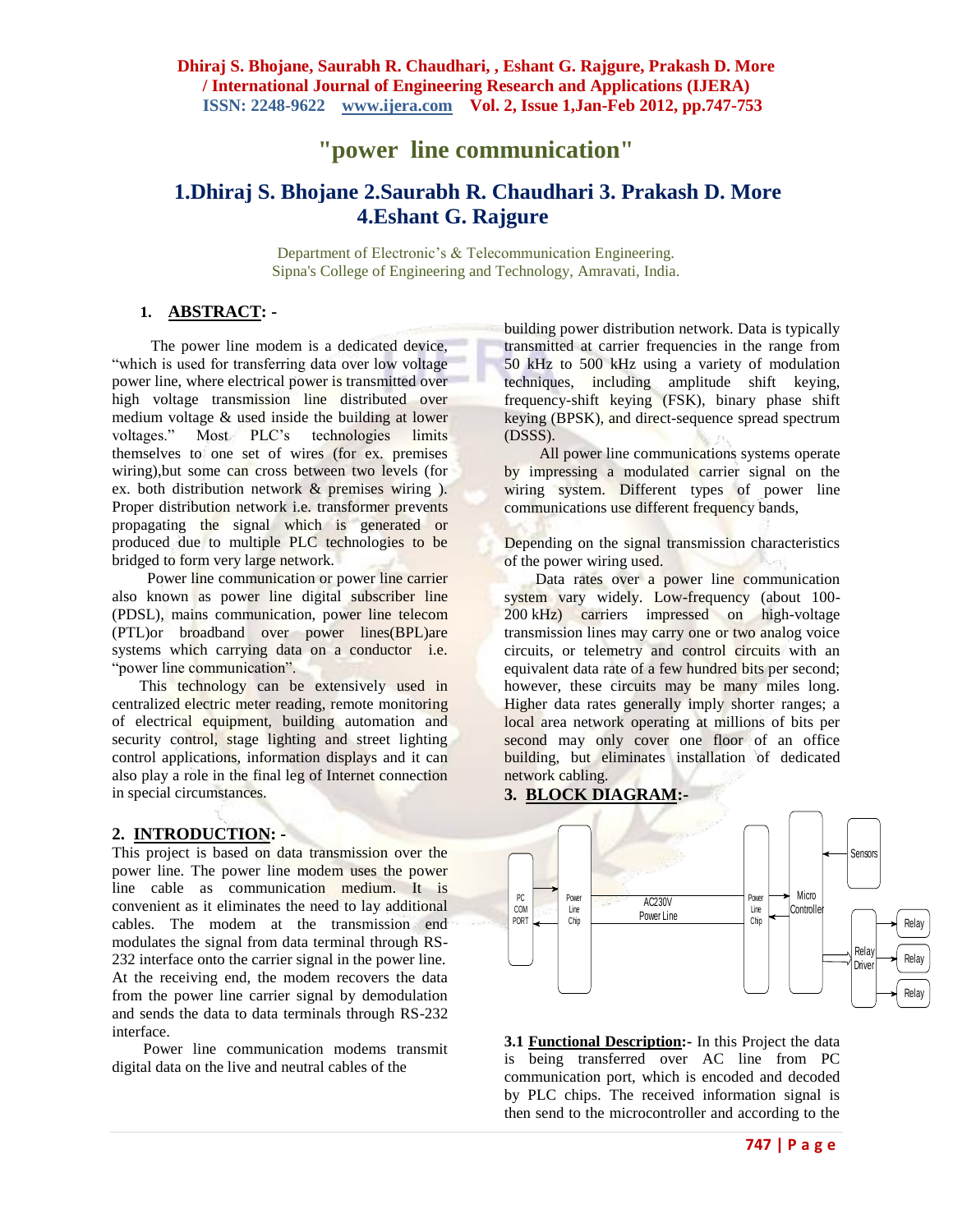# **"power line communication"**

# **1.Dhiraj S. Bhojane 2.Saurabh R. Chaudhari 3. Prakash D. More 4.Eshant G. Rajgure**

Department of Electronic's & Telecommunication Engineering. Sipna's College of Engineering and Technology, Amravati, India.

# **1. ABSTRACT: -**

 The power line modem is a dedicated device, "which is used for transferring data over low voltage power line, where electrical power is transmitted over high voltage transmission line distributed over medium voltage & used inside the building at lower<br>voltages." Most PLC's technologies limits Most PLC's technologies limits themselves to one set of wires (for ex. premises wiring),but some can cross between two levels (for ex. both distribution network & premises wiring ). Proper distribution network i.e. transformer prevents propagating the signal which is generated or produced due to multiple PLC technologies to be bridged to form very large network.

 Power line communication or power line carrier also known as power line digital subscriber line (PDSL), mains communication, power line telecom (PTL)or broadband over power lines(BPL)are systems which carrying data on a conductor i.e. "power line communication".

 This technology can be extensively used in centralized electric meter reading, remote monitoring of electrical equipment, building automation and security control, stage lighting and street lighting control applications, information displays and it can also play a role in the final leg of Internet connection in special circumstances.

# **2. INTRODUCTION: -**

This project is based on data transmission over the power line. The power line modem uses the power line cable as communication medium. It is convenient as it eliminates the need to lay additional cables. The modem at the transmission end modulates the signal from data terminal through RS-232 interface onto the carrier signal in the power line. At the receiving end, the modem recovers the data from the power line carrier signal by demodulation and sends the data to data terminals through RS-232 interface.

 Power line communication modems transmit digital data on the live and neutral cables of the

building power distribution network. Data is typically transmitted at carrier frequencies in the range from 50 kHz to 500 kHz using a variety of modulation techniques, including amplitude shift keying, frequency-shift keying (FSK), binary phase shift keying (BPSK), and direct-sequence spread spectrum (DSSS).

 All power line [communications systems](http://en.wikipedia.org/wiki/Communications_system) operate by impressing a modulated carrier signal on the wiring system. Different types of power line communications use different frequency bands,

Depending on the signal transmission characteristics of the power wiring used.

Data rates over a power line communication system vary widely. Low-frequency (about 100- 200 kHz) carriers impressed on high-voltage transmission lines may carry one or two analog voice circuits, or telemetry and control circuits with an equivalent data rate of a few hundred bits per second; however, these circuits may be many miles long. Higher data rates generally imply shorter ranges; a [local area network](http://en.wikipedia.org/wiki/Local_area_network) operating at millions of bits per second may only cover one floor of an office building, but eliminates installation of dedicated network cabling.

# **3. BLOCK DIAGRAM:-**



**3.1 Functional Description:-** In this Project the data is being transferred over AC line from PC communication port, which is encoded and decoded by PLC chips. The received information signal is then send to the microcontroller and according to the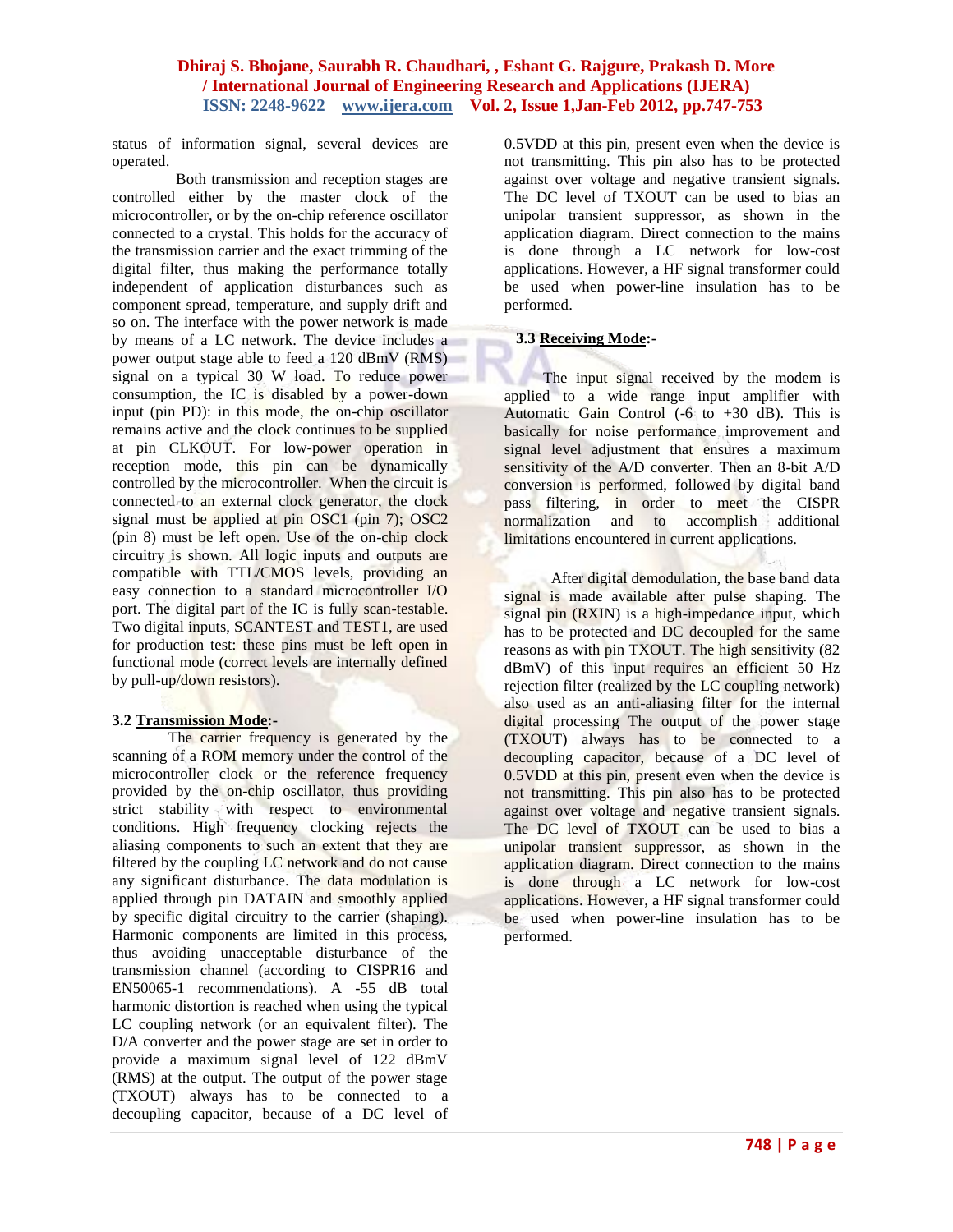status of information signal, several devices are operated.

 Both transmission and reception stages are controlled either by the master clock of the microcontroller, or by the on-chip reference oscillator connected to a crystal. This holds for the accuracy of the transmission carrier and the exact trimming of the digital filter, thus making the performance totally independent of application disturbances such as component spread, temperature, and supply drift and so on. The interface with the power network is made by means of a LC network. The device includes a power output stage able to feed a 120 dBmV (RMS) signal on a typical 30 W load. To reduce power consumption, the IC is disabled by a power-down input (pin PD): in this mode, the on-chip oscillator remains active and the clock continues to be supplied at pin CLKOUT. For low-power operation in reception mode, this pin can be dynamically controlled by the microcontroller. When the circuit is connected to an external clock generator, the clock signal must be applied at pin OSC1 (pin 7); OSC2 (pin 8) must be left open. Use of the on-chip clock circuitry is shown. All logic inputs and outputs are compatible with TTL/CMOS levels, providing an easy connection to a standard microcontroller I/O port. The digital part of the IC is fully scan-testable. Two digital inputs, SCANTEST and TEST1, are used for production test: these pins must be left open in functional mode (correct levels are internally defined by pull-up/down resistors).

#### **3.2 Transmission Mode:-**

The carrier frequency is generated by the scanning of a ROM memory under the control of the microcontroller clock or the reference frequency provided by the on-chip oscillator, thus providing strict stability with respect to environmental conditions. High frequency clocking rejects the aliasing components to such an extent that they are filtered by the coupling LC network and do not cause any significant disturbance. The data modulation is applied through pin DATAIN and smoothly applied by specific digital circuitry to the carrier (shaping). Harmonic components are limited in this process, thus avoiding unacceptable disturbance of the transmission channel (according to CISPR16 and EN50065-1 recommendations). A -55 dB total harmonic distortion is reached when using the typical LC coupling network (or an equivalent filter). The D/A converter and the power stage are set in order to provide a maximum signal level of 122 dBmV (RMS) at the output. The output of the power stage (TXOUT) always has to be connected to a decoupling capacitor, because of a DC level of

0.5VDD at this pin, present even when the device is not transmitting. This pin also has to be protected against over voltage and negative transient signals. The DC level of TXOUT can be used to bias an unipolar transient suppressor, as shown in the application diagram. Direct connection to the mains is done through a LC network for low-cost applications. However, a HF signal transformer could be used when power-line insulation has to be performed.

# **3.3 Receiving Mode:-**

 The input signal received by the modem is applied to a wide range input amplifier with Automatic Gain Control  $(-6 \text{ to } +30 \text{ dB})$ . This is basically for noise performance improvement and signal level adjustment that ensures a maximum sensitivity of the A/D converter. Then an 8-bit A/D conversion is performed, followed by digital band pass filtering, in order to meet the CISPR normalization and to accomplish additional limitations encountered in current applications.

 After digital demodulation, the base band data signal is made available after pulse shaping. The signal pin (RXIN) is a high-impedance input, which has to be protected and DC decoupled for the same reasons as with pin TXOUT. The high sensitivity (82 dBmV) of this input requires an efficient 50 Hz rejection filter (realized by the LC coupling network) also used as an anti-aliasing filter for the internal digital processing The output of the power stage (TXOUT) always has to be connected to a decoupling capacitor, because of a DC level of 0.5VDD at this pin, present even when the device is not transmitting. This pin also has to be protected against over voltage and negative transient signals. The DC level of TXOUT can be used to bias a unipolar transient suppressor, as shown in the application diagram. Direct connection to the mains is done through a LC network for low-cost applications. However, a HF signal transformer could be used when power-line insulation has to be performed.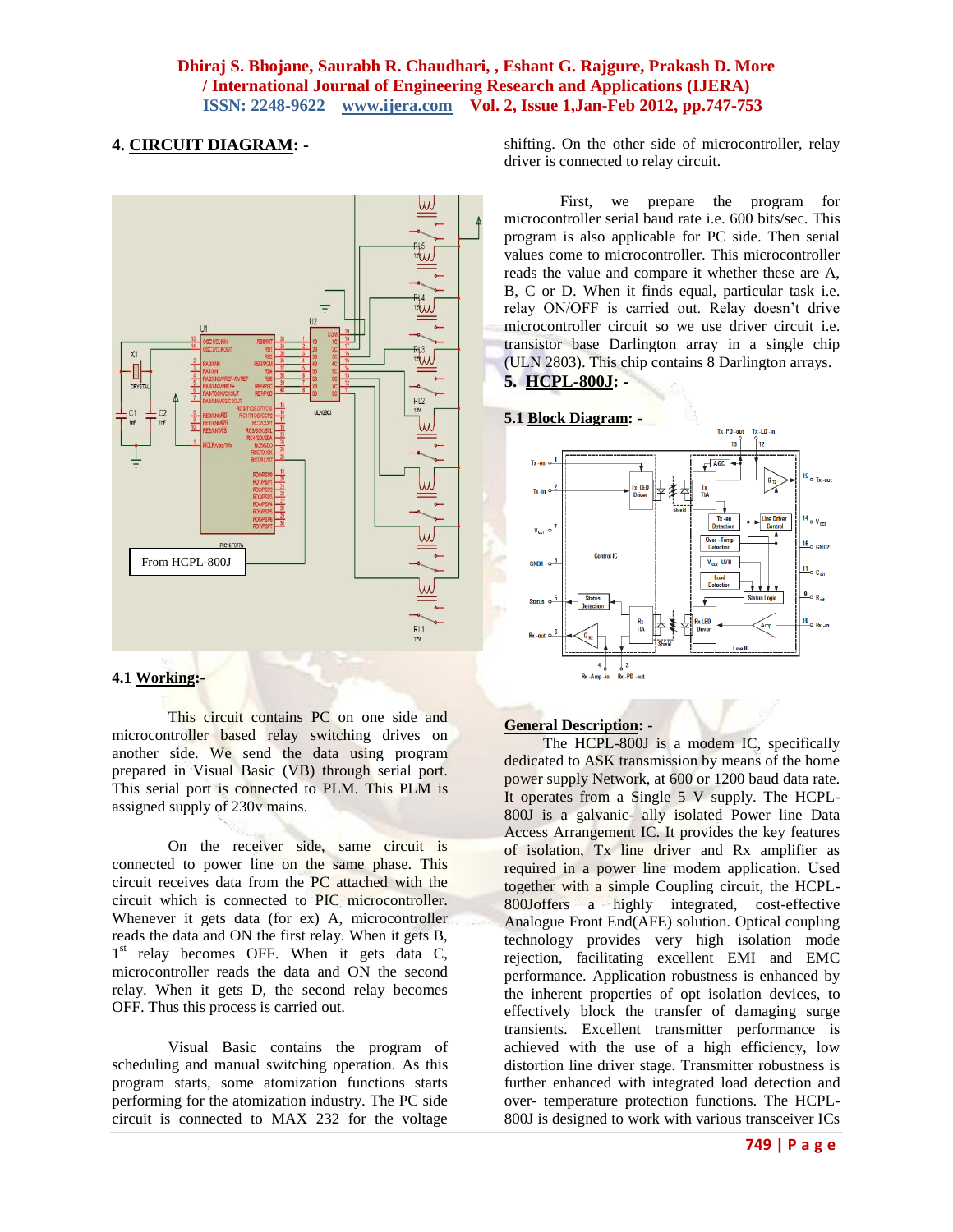# **4. CIRCUIT DIAGRAM: -**



## **4.1 Working:-**

This circuit contains PC on one side and microcontroller based relay switching drives on another side. We send the data using program prepared in Visual Basic (VB) through serial port. This serial port is connected to PLM. This PLM is assigned supply of 230v mains.

On the receiver side, same circuit is connected to power line on the same phase. This circuit receives data from the PC attached with the circuit which is connected to PIC microcontroller. Whenever it gets data (for ex) A, microcontroller reads the data and ON the first relay. When it gets B, 1<sup>st</sup> relay becomes OFF. When it gets data C, microcontroller reads the data and ON the second relay. When it gets D, the second relay becomes OFF. Thus this process is carried out.

Visual Basic contains the program of scheduling and manual switching operation. As this program starts, some atomization functions starts performing for the atomization industry. The PC side circuit is connected to MAX 232 for the voltage

shifting. On the other side of microcontroller, relay driver is connected to relay circuit.

First, we prepare the program for microcontroller serial baud rate i.e. 600 bits/sec. This program is also applicable for PC side. Then serial values come to microcontroller. This microcontroller reads the value and compare it whether these are A, B, C or D. When it finds equal, particular task i.e. relay ON/OFF is carried out. Relay doesn't drive microcontroller circuit so we use driver circuit i.e. transistor base Darlington array in a single chip (ULN 2803). This chip contains 8 Darlington arrays. **5. HCPL-800J: -**

![](_page_2_Figure_9.jpeg)

![](_page_2_Figure_10.jpeg)

# **General Description: -**

The HCPL-800J is a modem IC, specifically dedicated to ASK transmission by means of the home power supply Network, at 600 or 1200 baud data rate. It operates from a Single 5 V supply. The HCPL-800J is a galvanic- ally isolated Power line Data Access Arrangement IC. It provides the key features of isolation, Tx line driver and Rx amplifier as required in a power line modem application. Used together with a simple Coupling circuit, the HCPL-800Joffers a highly integrated, cost-effective Analogue Front End(AFE) solution. Optical coupling technology provides very high isolation mode rejection, facilitating excellent EMI and EMC performance. Application robustness is enhanced by the inherent properties of opt isolation devices, to effectively block the transfer of damaging surge transients. Excellent transmitter performance is achieved with the use of a high efficiency, low distortion line driver stage. Transmitter robustness is further enhanced with integrated load detection and over- temperature protection functions. The HCPL-800J is designed to work with various transceiver ICs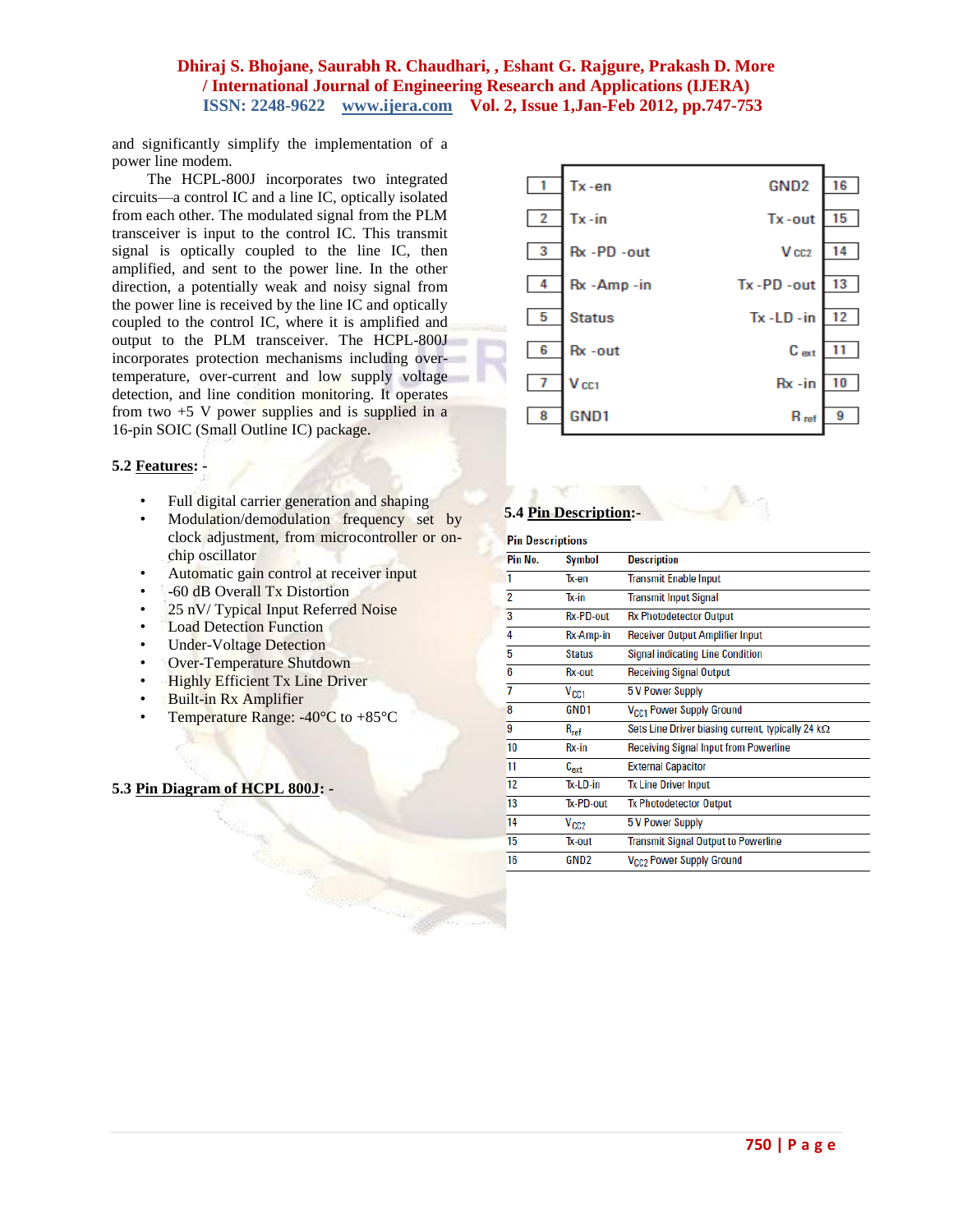and significantly simplify the implementation of a power line modem.

 The HCPL-800J incorporates two integrated circuits—a control IC and a line IC, optically isolated from each other. The modulated signal from the PLM transceiver is input to the control IC. This transmit signal is optically coupled to the line IC, then amplified, and sent to the power line. In the other direction, a potentially weak and noisy signal from the power line is received by the line IC and optically coupled to the control IC, where it is amplified and output to the PLM transceiver. The HCPL-800J incorporates protection mechanisms including overtemperature, over-current and low supply voltage detection, and line condition monitoring. It operates from two  $+5$  V power supplies and is supplied in a 16-pin SOIC (Small Outline IC) package.

## **5.2 Features: -**

- Full digital carrier generation and shaping
- Modulation/demodulation frequency set by clock adjustment, from microcontroller or onchip oscillator
- Automatic gain control at receiver input
- -60 dB Overall Tx Distortion
- 25 nV/ Typical Input Referred Noise
- **Load Detection Function**
- Under-Voltage Detection
- Over-Temperature Shutdown
- Highly Efficient Tx Line Driver
- Built-in Rx Amplifier
- Temperature Range:  $-40^{\circ}$ C to  $+85^{\circ}$ C

#### **5.3 Pin Diagram of HCPL 800J: -**

![](_page_3_Figure_16.jpeg)

#### **5.4 Pin Description:-**

| <b>Pin Descriptions</b> |                  |                                                          |  |  |
|-------------------------|------------------|----------------------------------------------------------|--|--|
| Pin No.                 | Symbol           | <b>Description</b>                                       |  |  |
| 1                       | Tx-en            | <b>Transmit Enable Input</b>                             |  |  |
| $\overline{2}$          | Tx-in            | <b>Transmit Input Signal</b>                             |  |  |
| 3                       | <b>Rx-PD-out</b> | <b>Rx Photodetector Output</b>                           |  |  |
| 4                       | Rx-Amp-in        | <b>Receiver Output Amplifier Input</b>                   |  |  |
| 5                       | <b>Status</b>    | <b>Signal indicating Line Condition</b>                  |  |  |
| 6                       | Rx-out           | <b>Receiving Signal Output</b>                           |  |  |
| 7                       | V <sub>CC1</sub> | <b>5 V Power Supply</b>                                  |  |  |
| 8                       | GND <sub>1</sub> | V <sub>CC1</sub> Power Supply Ground                     |  |  |
| 9                       | $R_{ref}$        | Sets Line Driver biasing current, typically 24 $k\Omega$ |  |  |
| 10                      | Rx-in            | <b>Receiving Signal Input from Powerline</b>             |  |  |
| 11                      | $C_{ext}$        | <b>External Capacitor</b>                                |  |  |
| 12                      | Tx-LD-in         | <b>Tx Line Driver Input</b>                              |  |  |
| 13                      | Tx-PD-out        | <b>Tx Photodetector Output</b>                           |  |  |
| 14                      | V <sub>CC2</sub> | <b>5 V Power Supply</b>                                  |  |  |
| 15                      | Tx-out           | <b>Transmit Signal Output to Powerline</b>               |  |  |
| 16                      | GND <sub>2</sub> | V <sub>CC2</sub> Power Supply Ground                     |  |  |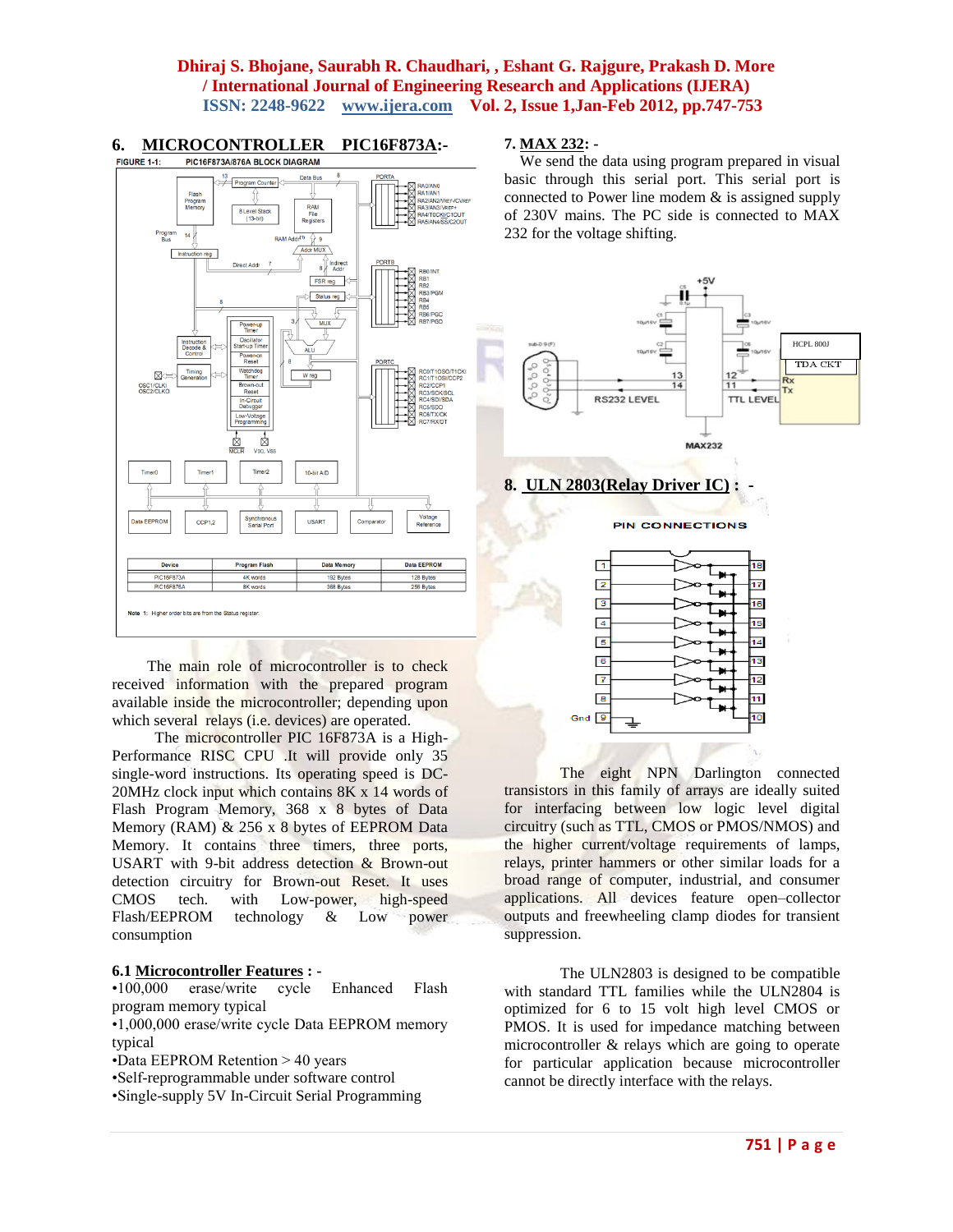![](_page_4_Figure_1.jpeg)

The main role of microcontroller is to check received information with the prepared program available inside the microcontroller; depending upon which several relays (i.e. devices) are operated.

 The microcontroller PIC 16F873A is a High-Performance RISC CPU .It will provide only 35 single-word instructions. Its operating speed is DC-20MHz clock input which contains 8K x 14 words of Flash Program Memory, 368 x 8 bytes of Data Memory (RAM) & 256 x 8 bytes of EEPROM Data Memory. It contains three timers, three ports, USART with 9-bit address detection & Brown-out detection circuitry for Brown-out Reset. It uses CMOS tech. with Low-power, high-speed Flash/EEPROM technology & Low power consumption

#### **6.1 Microcontroller Features : -**

•100,000 erase/write cycle Enhanced Flash program memory typical

•1,000,000 erase/write cycle Data EEPROM memory typical

- •Data EEPROM Retention > 40 years
- •Self-reprogrammable under software control
- •Single-supply 5V In-Circuit Serial Programming

#### **7. MAX 232: -**

basic through this serial port. This serial port is connected to Power line modem  $\&$  is assigned supply of 230V mains. The PC side is connected to MAX

![](_page_4_Figure_12.jpeg)

The eight NPN Darlington connected transistors in this family of arrays are ideally suited for interfacing between low logic level digital circuitry (such as TTL, CMOS or PMOS/NMOS) and the higher current/voltage requirements of lamps, relays, printer hammers or other similar loads for a broad range of computer, industrial, and consumer applications. All devices feature open–collector outputs and freewheeling clamp diodes for transient suppression.

The ULN2803 is designed to be compatible with standard TTL families while the ULN2804 is optimized for 6 to 15 volt high level CMOS or PMOS. It is used for impedance matching between microcontroller & relays which are going to operate for particular application because microcontroller cannot be directly interface with the relays.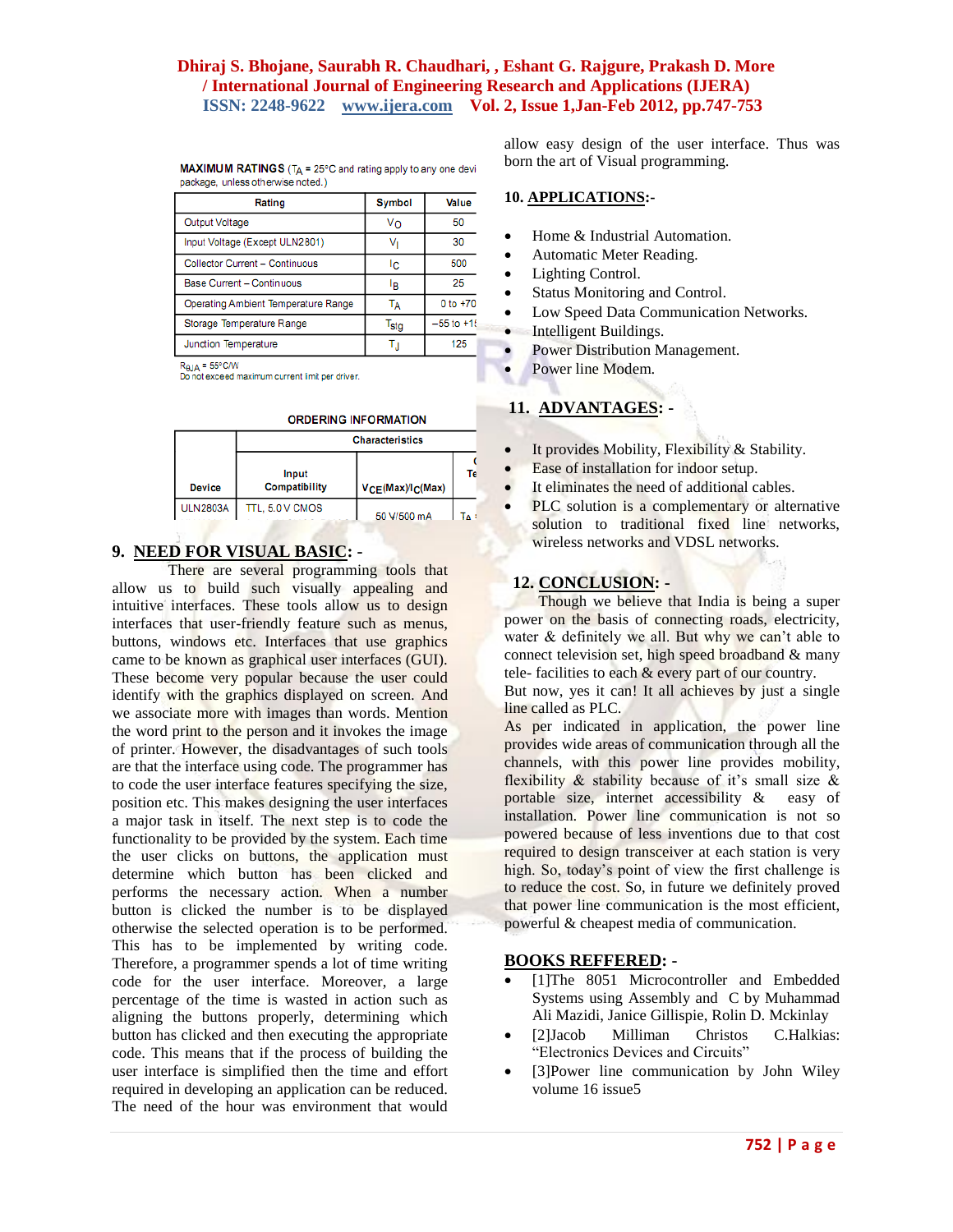| package, unless otherwise noted.)   |                  |                |
|-------------------------------------|------------------|----------------|
| Rating                              | <b>Symbol</b>    | Value          |
| Output Voltage                      | Vo               | 50             |
| Input Voltage (Except ULN2801)      | Vı               | 30             |
| Collector Current - Continuous      | Ic.              | 500            |
| Base Current - Continuous           | ŀв               | 25             |
| Operating Ambient Temperature Range | Tд               | $0 to +70$     |
| Storage Temperature Range           | T <sub>stg</sub> | $-55$ to $+15$ |
| Junction Temperature                |                  | 125            |

**MAXIMUM RATINGS** ( $T_A$  = 25°C and rating apply to any one devi

 $R_{\theta J} = 55^{\circ}$ C/W

Do not exceed maximum current limit per driver.

|  |  |  |  | ORDERING INFORMATION |
|--|--|--|--|----------------------|
|  |  |  |  |                      |

|                 | <b>Characteristics</b>        |                 |       |  |  |  |
|-----------------|-------------------------------|-----------------|-------|--|--|--|
| <b>Device</b>   | Input<br><b>Compatibility</b> | VCE(Max)/C(Max) | Те    |  |  |  |
| <b>ULN2803A</b> | TTL, 5.0 V CMOS               | 50 V/500 mA     | TA ST |  |  |  |

# **9. NEED FOR VISUAL BASIC: -**

There are several programming tools that allow us to build such visually appealing and intuitive interfaces. These tools allow us to design interfaces that user-friendly feature such as menus, buttons, windows etc. Interfaces that use graphics came to be known as graphical user interfaces (GUI). These become very popular because the user could identify with the graphics displayed on screen. And we associate more with images than words. Mention the word print to the person and it invokes the image of printer. However, the disadvantages of such tools are that the interface using code. The programmer has to code the user interface features specifying the size, position etc. This makes designing the user interfaces a major task in itself. The next step is to code the functionality to be provided by the system. Each time the user clicks on buttons, the application must determine which button has been clicked and performs the necessary action. When a number button is clicked the number is to be displayed otherwise the selected operation is to be performed. This has to be implemented by writing code. Therefore, a programmer spends a lot of time writing code for the user interface. Moreover, a large percentage of the time is wasted in action such as aligning the buttons properly, determining which button has clicked and then executing the appropriate code. This means that if the process of building the user interface is simplified then the time and effort required in developing an application can be reduced. The need of the hour was environment that would

allow easy design of the user interface. Thus was born the art of Visual programming.

#### **10. APPLICATIONS:-**

- Home & Industrial Automation.
- Automatic Meter Reading.
- Lighting Control.
- Status Monitoring and Control.
- Low Speed Data Communication Networks.
- Intelligent Buildings.
- Power Distribution Management.
- Power line Modem.

#### **11. ADVANTAGES: -**

- It provides Mobility, Flexibility & Stability.
- Ease of installation for indoor setup.
- It eliminates the need of additional cables.
- PLC solution is a complementary or alternative solution to traditional fixed line networks, wireless networks and VDSL networks.

#### **12. CONCLUSION: -**

Though we believe that India is being a super power on the basis of connecting roads, electricity, water & definitely we all. But why we can't able to connect television set, high speed broadband & many tele- facilities to each & every part of our country.

But now, yes it can! It all achieves by just a single line called as PLC.

As per indicated in application, the power line provides wide areas of communication through all the channels, with this power line provides mobility, flexibility  $\&$  stability because of it's small size  $\&$ portable size, internet accessibility & easy of installation. Power line communication is not so powered because of less inventions due to that cost required to design transceiver at each station is very high. So, today's point of view the first challenge is to reduce the cost. So, in future we definitely proved that power line communication is the most efficient, powerful & cheapest media of communication.

#### **BOOKS REFFERED: -**

- [1]The 8051 Microcontroller and Embedded Systems using Assembly and C by Muhammad Ali Mazidi, Janice Gillispie, Rolin D. Mckinlay
- [2]Jacob Milliman Christos C.Halkias: "Electronics Devices and Circuits"
- [3]Power line communication by John Wiley volume 16 issue5